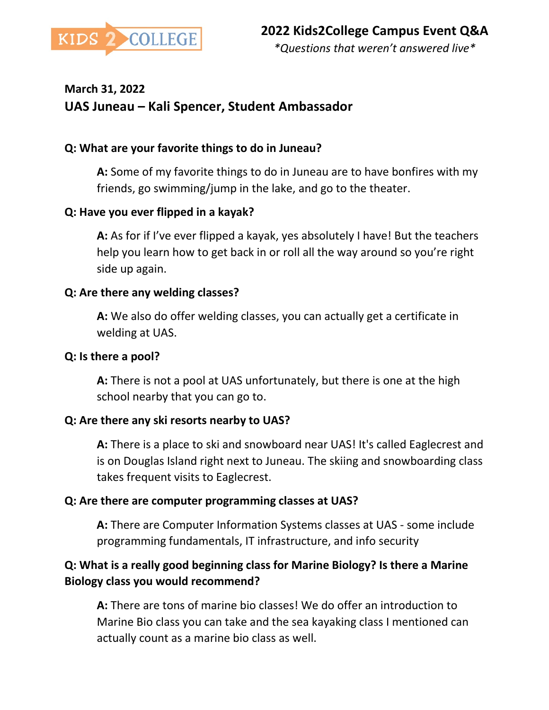

# **March 31, 2022 UAS Juneau – Kali Spencer, Student Ambassador**

#### **Q: What are your favorite things to do in Juneau?**

**A:** Some of my favorite things to do in Juneau are to have bonfires with my friends, go swimming/jump in the lake, and go to the theater.

#### **Q: Have you ever flipped in a kayak?**

**A:** As for if I've ever flipped a kayak, yes absolutely I have! But the teachers help you learn how to get back in or roll all the way around so you're right side up again.

#### **Q: Are there any welding classes?**

**A:** We also do offer welding classes, you can actually get a certificate in welding at UAS.

#### **Q: Is there a pool?**

**A:** There is not a pool at UAS unfortunately, but there is one at the high school nearby that you can go to.

#### **Q: Are there any ski resorts nearby to UAS?**

**A:** There is a place to ski and snowboard near UAS! It's called Eaglecrest and is on Douglas Island right next to Juneau. The skiing and snowboarding class takes frequent visits to Eaglecrest.

#### **Q: Are there are computer programming classes at UAS?**

**A:** There are Computer Information Systems classes at UAS - some include programming fundamentals, IT infrastructure, and info security

### **Q: What is a really good beginning class for Marine Biology? Is there a Marine Biology class you would recommend?**

**A:** There are tons of marine bio classes! We do offer an introduction to Marine Bio class you can take and the sea kayaking class I mentioned can actually count as a marine bio class as well.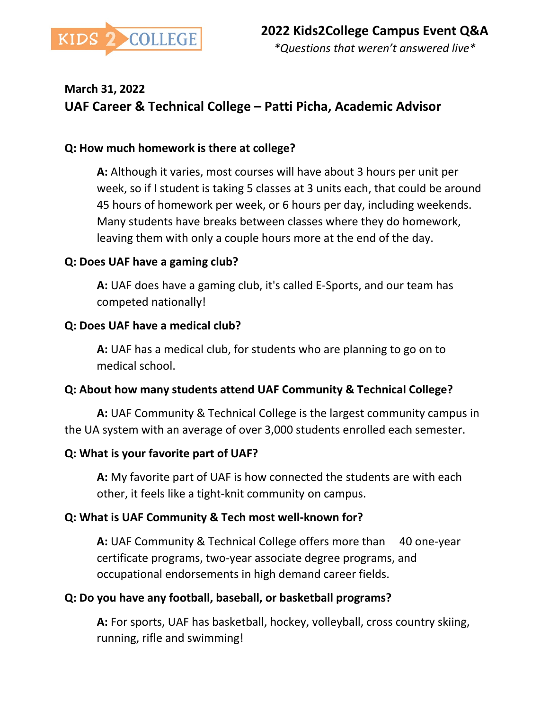

# **March 31, 2022 UAF Career & Technical College – Patti Picha, Academic Advisor**

#### **Q: How much homework is there at college?**

**A:** Although it varies, most courses will have about 3 hours per unit per week, so if I student is taking 5 classes at 3 units each, that could be around 45 hours of homework per week, or 6 hours per day, including weekends. Many students have breaks between classes where they do homework, leaving them with only a couple hours more at the end of the day.

#### **Q: Does UAF have a gaming club?**

**A:** UAF does have a gaming club, it's called E-Sports, and our team has competed nationally!

#### **Q: Does UAF have a medical club?**

**A:** UAF has a medical club, for students who are planning to go on to medical school.

#### **Q: About how many students attend UAF Community & Technical College?**

**A:** UAF Community & Technical College is the largest community campus in the UA system with an average of over 3,000 students enrolled each semester.

#### **Q: What is your favorite part of UAF?**

**A:** My favorite part of UAF is how connected the students are with each other, it feels like a tight-knit community on campus.

#### **Q: What is UAF Community & Tech most well-known for?**

**A:** UAF Community & Technical College offers more than 40 one-year certificate programs, two-year associate degree programs, and occupational endorsements in high demand career fields.

#### **Q: Do you have any football, baseball, or basketball programs?**

**A:** For sports, UAF has basketball, hockey, volleyball, cross country skiing, running, rifle and swimming!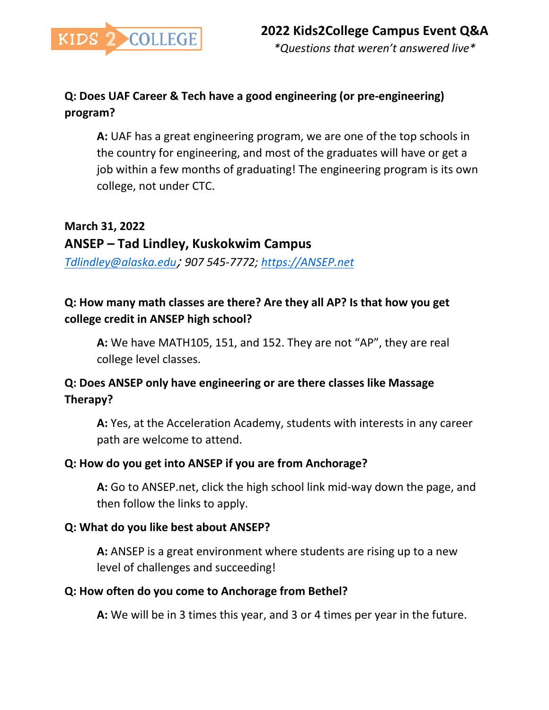

### **Q: Does UAF Career & Tech have a good engineering (or pre-engineering) program?**

**A:** UAF has a great engineering program, we are one of the top schools in the country for engineering, and most of the graduates will have or get a job within a few months of graduating! The engineering program is its own college, not under CTC.

#### **March 31, 2022**

### **ANSEP – Tad Lindley, Kuskokwim Campus**

*[Tdlindley@alaska.edu](mailto:Tdlindley@alaska.edu)*; *907 545-7772; [https://ANSEP.net](https://ansep.net/)* 

### **Q: How many math classes are there? Are they all AP? Is that how you get college credit in ANSEP high school?**

**A:** We have MATH105, 151, and 152. They are not "AP", they are real college level classes.

### **Q: Does ANSEP only have engineering or are there classes like Massage Therapy?**

**A:** Yes, at the Acceleration Academy, students with interests in any career path are welcome to attend.

#### **Q: How do you get into ANSEP if you are from Anchorage?**

**A:** Go to ANSEP.net, click the high school link mid-way down the page, and then follow the links to apply.

#### **Q: What do you like best about ANSEP?**

**A:** ANSEP is a great environment where students are rising up to a new level of challenges and succeeding!

#### **Q: How often do you come to Anchorage from Bethel?**

**A:** We will be in 3 times this year, and 3 or 4 times per year in the future.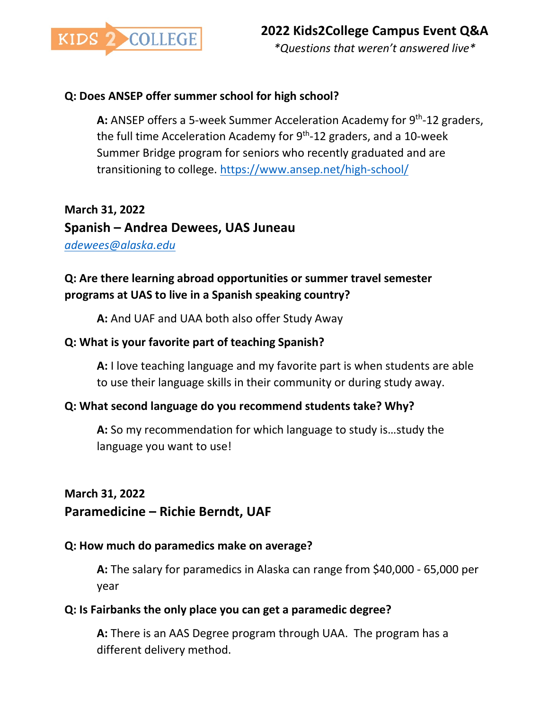

#### **Q: Does ANSEP offer summer school for high school?**

**A:** ANSEP offers a 5-week Summer Acceleration Academy for 9th-12 graders, the full time Acceleration Academy for  $9<sup>th</sup>$ -12 graders, and a 10-week Summer Bridge program for seniors who recently graduated and are transitioning to college. <https://www.ansep.net/high-school/>

**March 31, 2022 Spanish – Andrea Dewees, UAS Juneau** *[adewees@alaska.edu](mailto:adewees@alaska.edu)*

### **Q: Are there learning abroad opportunities or summer travel semester programs at UAS to live in a Spanish speaking country?**

**A:** And UAF and UAA both also offer Study Away

#### **Q: What is your favorite part of teaching Spanish?**

**A:** I love teaching language and my favorite part is when students are able to use their language skills in their community or during study away.

### **Q: What second language do you recommend students take? Why?**

**A:** So my recommendation for which language to study is…study the language you want to use!

#### **March 31, 2022**

### **Paramedicine – Richie Berndt, UAF**

#### **Q: How much do paramedics make on average?**

**A:** The salary for paramedics in Alaska can range from \$40,000 - 65,000 per year

#### **Q: Is Fairbanks the only place you can get a paramedic degree?**

**A:** There is an AAS Degree program through UAA. The program has a different delivery method.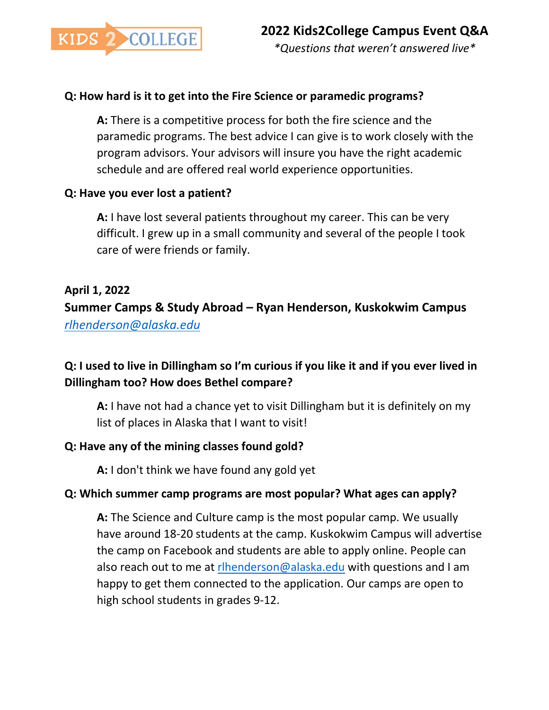

#### **Q: How hard is it to get into the Fire Science or paramedic programs?**

**A:** There is a competitive process for both the fire science and the paramedic programs. The best advice I can give is to work closely with the program advisors. Your advisors will insure you have the right academic schedule and are offered real world experience opportunities.

#### **Q: Have you ever lost a patient?**

**A:** I have lost several patients throughout my career. This can be very difficult. I grew up in a small community and several of the people I took care of were friends or family.

#### **April 1, 2022**

**Summer Camps & Study Abroad – Ryan Henderson, Kuskokwim Campus** *[rlhenderson@alaska.edu](mailto:rlhenderson@alaska.edu)*

### **Q: I used to live in Dillingham so I'm curious if you like it and if you ever lived in Dillingham too? How does Bethel compare?**

**A:** I have not had a chance yet to visit Dillingham but it is definitely on my list of places in Alaska that I want to visit!

#### **Q: Have any of the mining classes found gold?**

**A:** I don't think we have found any gold yet

#### **Q: Which summer camp programs are most popular? What ages can apply?**

**A:** The Science and Culture camp is the most popular camp. We usually have around 18-20 students at the camp. Kuskokwim Campus will advertise the camp on Facebook and students are able to apply online. People can also reach out to me at [rlhenderson@alaska.edu](mailto:rlhenderson@alaska.edu) with questions and I am happy to get them connected to the application. Our camps are open to high school students in grades 9-12.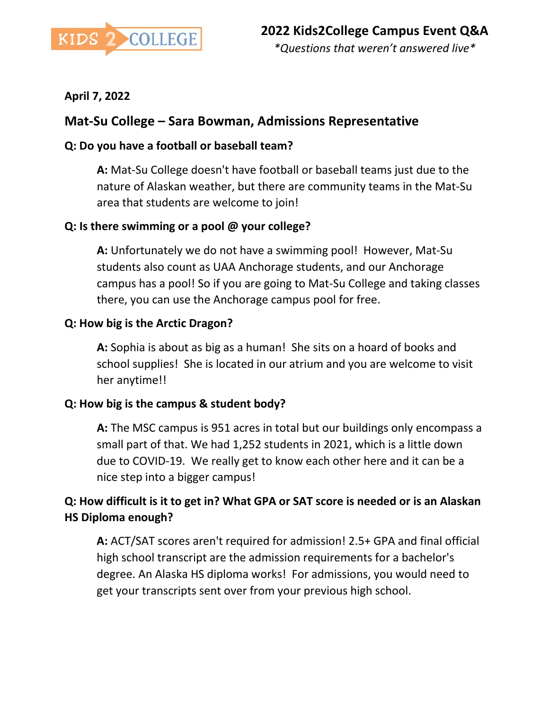

### **April 7, 2022**

### **Mat-Su College – Sara Bowman, Admissions Representative**

### **Q: Do you have a football or baseball team?**

**A:** Mat-Su College doesn't have football or baseball teams just due to the nature of Alaskan weather, but there are community teams in the Mat-Su area that students are welcome to join!

### **Q: Is there swimming or a pool @ your college?**

**A:** Unfortunately we do not have a swimming pool! However, Mat-Su students also count as UAA Anchorage students, and our Anchorage campus has a pool! So if you are going to Mat-Su College and taking classes there, you can use the Anchorage campus pool for free.

### **Q: How big is the Arctic Dragon?**

**A:** Sophia is about as big as a human! She sits on a hoard of books and school supplies! She is located in our atrium and you are welcome to visit her anytime!!

### **Q: How big is the campus & student body?**

**A:** The MSC campus is 951 acres in total but our buildings only encompass a small part of that. We had 1,252 students in 2021, which is a little down due to COVID-19. We really get to know each other here and it can be a nice step into a bigger campus!

### **Q: How difficult is it to get in? What GPA or SAT score is needed or is an Alaskan HS Diploma enough?**

**A:** ACT/SAT scores aren't required for admission! 2.5+ GPA and final official high school transcript are the admission requirements for a bachelor's degree. An Alaska HS diploma works! For admissions, you would need to get your transcripts sent over from your previous high school.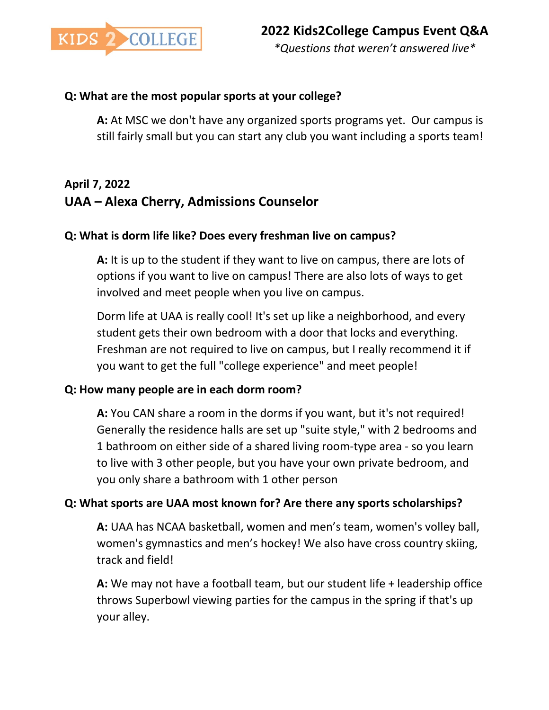

#### **Q: What are the most popular sports at your college?**

**A:** At MSC we don't have any organized sports programs yet. Our campus is still fairly small but you can start any club you want including a sports team!

# **April 7, 2022 UAA – Alexa Cherry, Admissions Counselor**

#### **Q: What is dorm life like? Does every freshman live on campus?**

**A:** It is up to the student if they want to live on campus, there are lots of options if you want to live on campus! There are also lots of ways to get involved and meet people when you live on campus.

Dorm life at UAA is really cool! It's set up like a neighborhood, and every student gets their own bedroom with a door that locks and everything. Freshman are not required to live on campus, but I really recommend it if you want to get the full "college experience" and meet people!

#### **Q: How many people are in each dorm room?**

**A:** You CAN share a room in the dorms if you want, but it's not required! Generally the residence halls are set up "suite style," with 2 bedrooms and 1 bathroom on either side of a shared living room-type area - so you learn to live with 3 other people, but you have your own private bedroom, and you only share a bathroom with 1 other person

#### **Q: What sports are UAA most known for? Are there any sports scholarships?**

**A:** UAA has NCAA basketball, women and men's team, women's volley ball, women's gymnastics and men's hockey! We also have cross country skiing, track and field!

**A:** We may not have a football team, but our student life + leadership office throws Superbowl viewing parties for the campus in the spring if that's up your alley.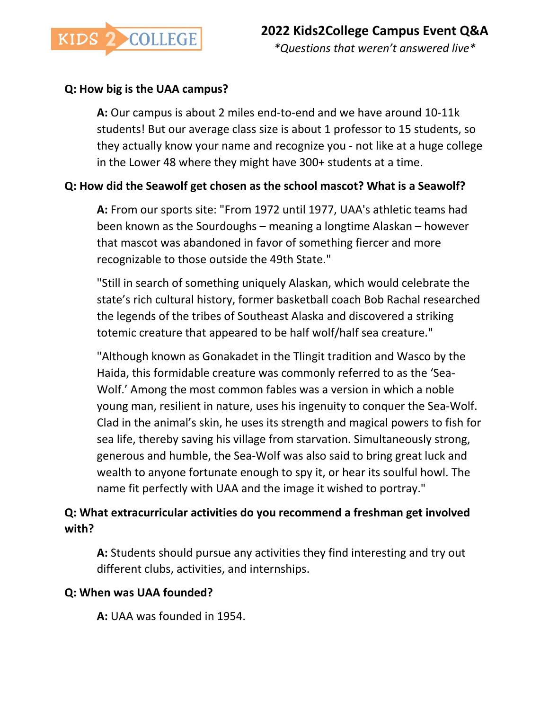

### **Q: How big is the UAA campus?**

**A:** Our campus is about 2 miles end-to-end and we have around 10-11k students! But our average class size is about 1 professor to 15 students, so they actually know your name and recognize you - not like at a huge college in the Lower 48 where they might have 300+ students at a time.

### **Q: How did the Seawolf get chosen as the school mascot? What is a Seawolf?**

**A:** From our sports site: "From 1972 until 1977, UAA's athletic teams had been known as the Sourdoughs – meaning a longtime Alaskan – however that mascot was abandoned in favor of something fiercer and more recognizable to those outside the 49th State."

"Still in search of something uniquely Alaskan, which would celebrate the state's rich cultural history, former basketball coach Bob Rachal researched the legends of the tribes of Southeast Alaska and discovered a striking totemic creature that appeared to be half wolf/half sea creature."

"Although known as Gonakadet in the Tlingit tradition and Wasco by the Haida, this formidable creature was commonly referred to as the 'Sea-Wolf.' Among the most common fables was a version in which a noble young man, resilient in nature, uses his ingenuity to conquer the Sea-Wolf. Clad in the animal's skin, he uses its strength and magical powers to fish for sea life, thereby saving his village from starvation. Simultaneously strong, generous and humble, the Sea-Wolf was also said to bring great luck and wealth to anyone fortunate enough to spy it, or hear its soulful howl. The name fit perfectly with UAA and the image it wished to portray."

### **Q: What extracurricular activities do you recommend a freshman get involved with?**

**A:** Students should pursue any activities they find interesting and try out different clubs, activities, and internships.

#### **Q: When was UAA founded?**

**A:** UAA was founded in 1954.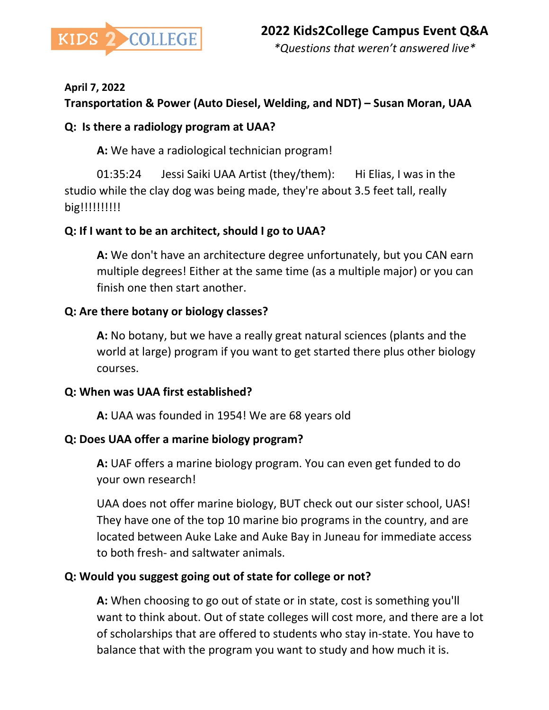

#### **April 7, 2022**

### **Transportation & Power (Auto Diesel, Welding, and NDT) – Susan Moran, UAA**

#### **Q: Is there a radiology program at UAA?**

**A:** We have a radiological technician program!

01:35:24 Jessi Saiki UAA Artist (they/them): Hi Elias, I was in the studio while the clay dog was being made, they're about 3.5 feet tall, really big!!!!!!!!!!!

#### **Q: If I want to be an architect, should I go to UAA?**

**A:** We don't have an architecture degree unfortunately, but you CAN earn multiple degrees! Either at the same time (as a multiple major) or you can finish one then start another.

#### **Q: Are there botany or biology classes?**

**A:** No botany, but we have a really great natural sciences (plants and the world at large) program if you want to get started there plus other biology courses.

#### **Q: When was UAA first established?**

**A:** UAA was founded in 1954! We are 68 years old

#### **Q: Does UAA offer a marine biology program?**

**A:** UAF offers a marine biology program. You can even get funded to do your own research!

UAA does not offer marine biology, BUT check out our sister school, UAS! They have one of the top 10 marine bio programs in the country, and are located between Auke Lake and Auke Bay in Juneau for immediate access to both fresh- and saltwater animals.

#### **Q: Would you suggest going out of state for college or not?**

**A:** When choosing to go out of state or in state, cost is something you'll want to think about. Out of state colleges will cost more, and there are a lot of scholarships that are offered to students who stay in-state. You have to balance that with the program you want to study and how much it is.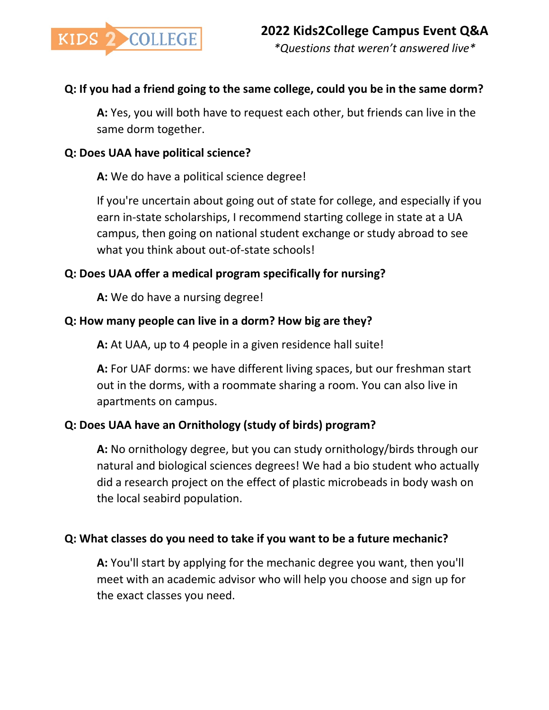

### **Q: If you had a friend going to the same college, could you be in the same dorm?**

**A:** Yes, you will both have to request each other, but friends can live in the same dorm together.

#### **Q: Does UAA have political science?**

**A:** We do have a political science degree!

If you're uncertain about going out of state for college, and especially if you earn in-state scholarships, I recommend starting college in state at a UA campus, then going on national student exchange or study abroad to see what you think about out-of-state schools!

### **Q: Does UAA offer a medical program specifically for nursing?**

**A:** We do have a nursing degree!

### **Q: How many people can live in a dorm? How big are they?**

**A:** At UAA, up to 4 people in a given residence hall suite!

**A:** For UAF dorms: we have different living spaces, but our freshman start out in the dorms, with a roommate sharing a room. You can also live in apartments on campus.

### **Q: Does UAA have an Ornithology (study of birds) program?**

**A:** No ornithology degree, but you can study ornithology/birds through our natural and biological sciences degrees! We had a bio student who actually did a research project on the effect of plastic microbeads in body wash on the local seabird population.

### **Q: What classes do you need to take if you want to be a future mechanic?**

**A:** You'll start by applying for the mechanic degree you want, then you'll meet with an academic advisor who will help you choose and sign up for the exact classes you need.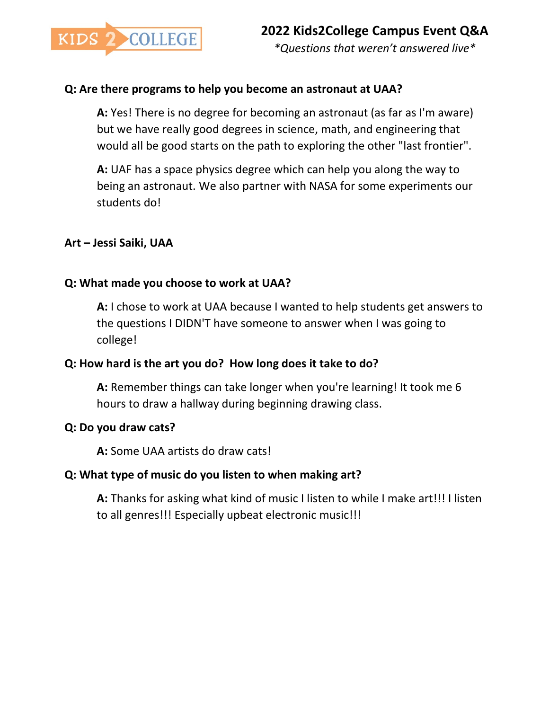

#### **Q: Are there programs to help you become an astronaut at UAA?**

**A:** Yes! There is no degree for becoming an astronaut (as far as I'm aware) but we have really good degrees in science, math, and engineering that would all be good starts on the path to exploring the other "last frontier".

**A:** UAF has a space physics degree which can help you along the way to being an astronaut. We also partner with NASA for some experiments our students do!

#### **Art – Jessi Saiki, UAA**

#### **Q: What made you choose to work at UAA?**

**A:** I chose to work at UAA because I wanted to help students get answers to the questions I DIDN'T have someone to answer when I was going to college!

#### **Q: How hard is the art you do? How long does it take to do?**

**A:** Remember things can take longer when you're learning! It took me 6 hours to draw a hallway during beginning drawing class.

#### **Q: Do you draw cats?**

**A:** Some UAA artists do draw cats!

#### **Q: What type of music do you listen to when making art?**

**A:** Thanks for asking what kind of music I listen to while I make art!!! I listen to all genres!!! Especially upbeat electronic music!!!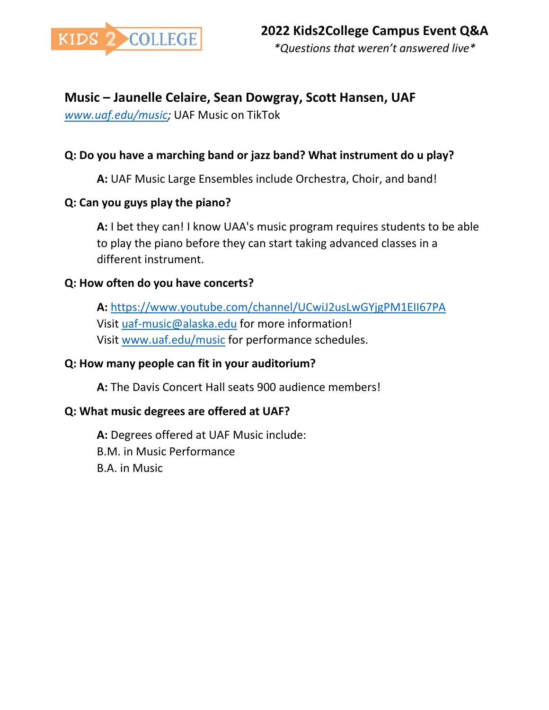

### **Music – Jaunelle Celaire, Sean Dowgray, Scott Hansen, UAF**

*[www.uaf.edu/music;](http://www.uaf.edu/music)* UAF Music on TikTok

### **Q: Do you have a marching band or jazz band? What instrument do u play?**

**A:** UAF Music Large Ensembles include Orchestra, Choir, and band!

### **Q: Can you guys play the piano?**

**A:** I bet they can! I know UAA's music program requires students to be able to play the piano before they can start taking advanced classes in a different instrument.

### **Q: How often do you have concerts?**

**A:** <https://www.youtube.com/channel/UCwiJ2usLwGYjgPM1EII67PA> Visit [uaf-music@alaska.edu](mailto:uaf-music@alaska.edu) for more information! Visit [www.uaf.edu/music](http://www.uaf.edu/music) for performance schedules.

### **Q: How many people can fit in your auditorium?**

**A:** The Davis Concert Hall seats 900 audience members!

### **Q: What music degrees are offered at UAF?**

**A:** Degrees offered at UAF Music include: B.M. in Music Performance B.A. in Music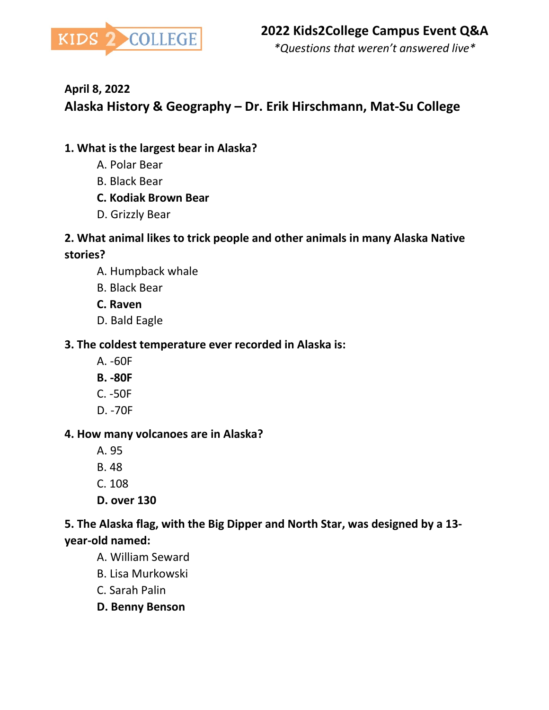

# **April 8, 2022**

# **Alaska History & Geography – Dr. Erik Hirschmann, Mat-Su College**

### **1. What is the largest bear in Alaska?**

- A. Polar Bear
- B. Black Bear
- **C. Kodiak Brown Bear**
- D. Grizzly Bear

### **2. What animal likes to trick people and other animals in many Alaska Native stories?**

- A. Humpback whale
- B. Black Bear
- **C. Raven**
- D. Bald Eagle

### **3. The coldest temperature ever recorded in Alaska is:**

- A. -60F
- **B. -80F**
- C. -50F
- D. -70F

### **4. How many volcanoes are in Alaska?**

- A. 95
- B. 48
- C. 108
- **D. over 130**

### **5. The Alaska flag, with the Big Dipper and North Star, was designed by a 13 year-old named:**

- A. William Seward
- B. Lisa Murkowski
- C. Sarah Palin
- **D. Benny Benson**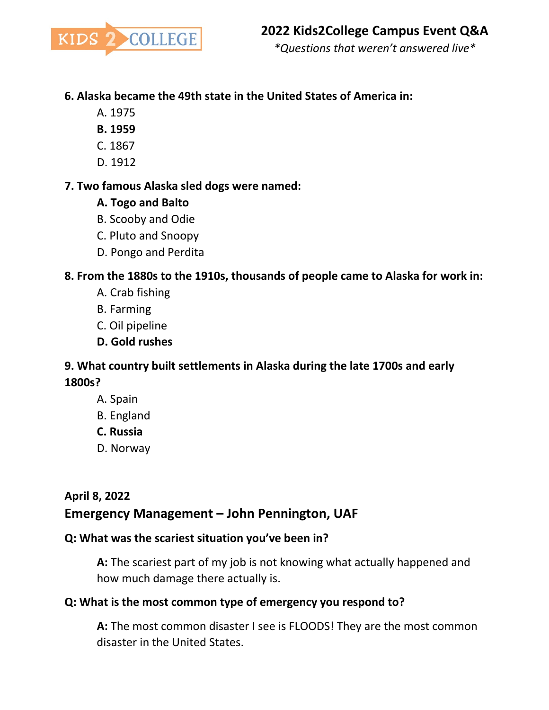

### **6. Alaska became the 49th state in the United States of America in:**

- A. 1975
- **B. 1959**
- C. 1867
- D. 1912

#### **7. Two famous Alaska sled dogs were named:**

- **A. Togo and Balto**
- B. Scooby and Odie
- C. Pluto and Snoopy
- D. Pongo and Perdita

#### **8. From the 1880s to the 1910s, thousands of people came to Alaska for work in:**

- A. Crab fishing
- B. Farming
- C. Oil pipeline
- **D. Gold rushes**

### **9. What country built settlements in Alaska during the late 1700s and early 1800s?**

- A. Spain
- B. England
- **C. Russia**
- D. Norway

## **April 8, 2022 Emergency Management – John Pennington, UAF**

### **Q: What was the scariest situation you've been in?**

**A:** The scariest part of my job is not knowing what actually happened and how much damage there actually is.

### **Q: What is the most common type of emergency you respond to?**

**A:** The most common disaster I see is FLOODS! They are the most common disaster in the United States.